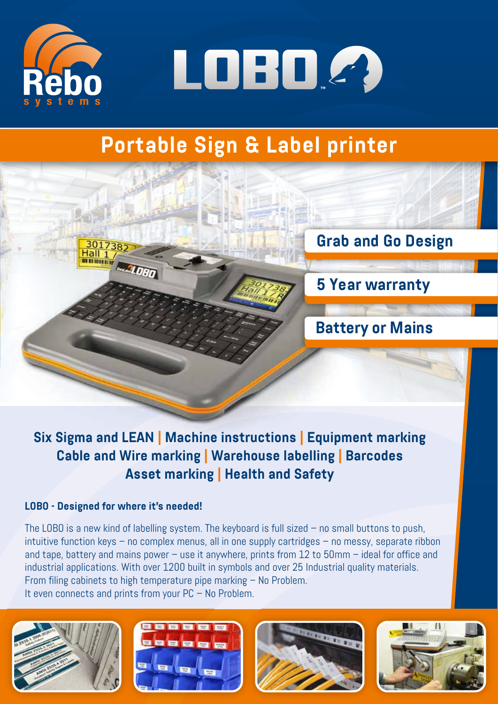



# **Portable Sign & Label printer**



**Six Sigma and LEAN | Machine instructions | Equipment marking Cable and Wire marking | Warehouse labelling | Barcodes Asset marking | Health and Safety**

## **LOBO - Designed for where it's needed!**

The LOBO is a new kind of labelling system. The keyboard is full sized – no small buttons to push, intuitive function keys – no complex menus, all in one supply cartridges – no messy, separate ribbon and tape, battery and mains power – use it anywhere, prints from 12 to 50mm – ideal for office and industrial applications. With over 1200 built in symbols and over 25 Industrial quality materials. From filing cabinets to high temperature pipe marking – No Problem. It even connects and prints from your PC – No Problem.







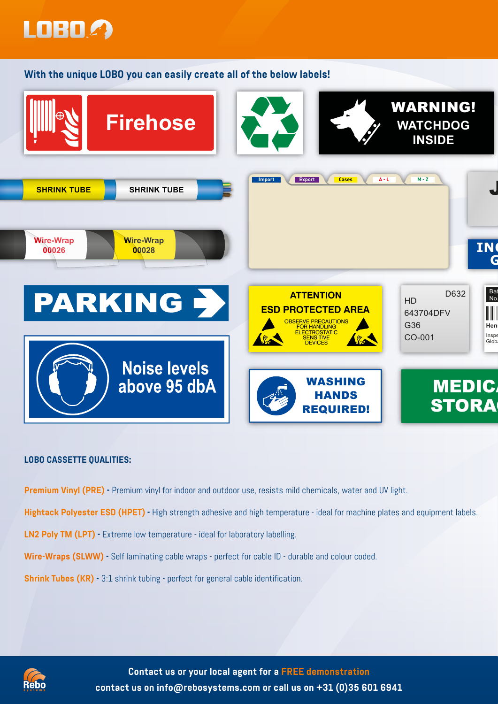

**With the unique LOBO you can easily create all of the below labels!**



#### **LOBO CASSETTE QUALITIES:**

**Premium Vinyl (PRE) -** Premium vinyl for indoor and outdoor use, resists mild chemicals, water and UV light.

**Hightack Polyester ESD (HPET) -** High strength adhesive and high temperature - ideal for machine plates and equipment labels.

**LN2 Poly TM (LPT) -** Extreme low temperature - ideal for laboratory labelling.

**Wire-Wraps (SLWW) -** Self laminating cable wraps - perfect for cable ID - durable and colour coded.

**Shrink Tubes (KR) -** 3:1 shrink tubing - perfect for general cable identification.



**Contact us or your local agent for a FREE demonstration contact us on info@rebosystems.com or call us on +31 (0)35 601 6941**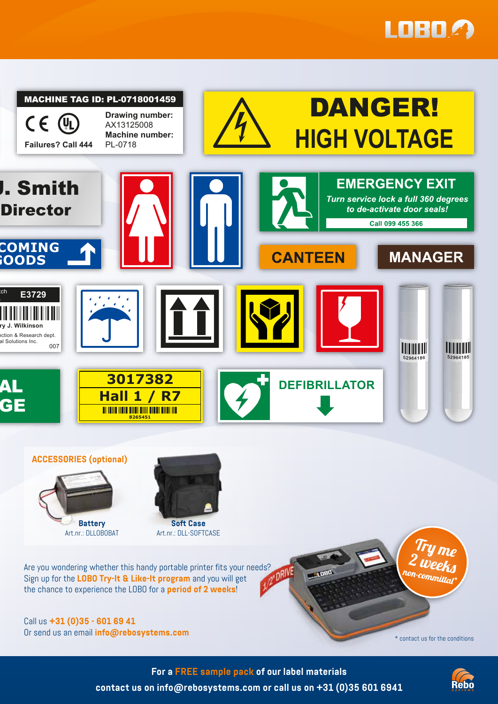



Call us **+31 (0)35 - 601 69 41** Or send us an email **info@rebosystems.com** \* \* contact us for the conditions

**For a FREE sample pack of our label materials contact us on info@rebosystems.com or call us on +31 (0)35 601 6941**